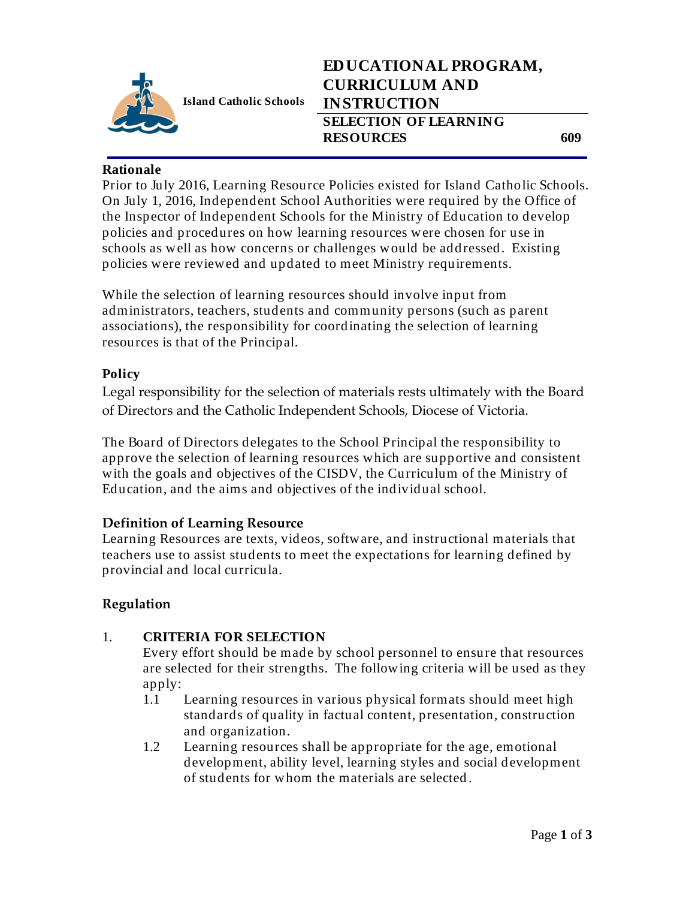

**Island Catholic Schools** 

## **EDUCATIONAL PROGRAM, CURRICULUM AND INSTRUCTION SELECTION OF LEARNING RESOURCES 609**

Prior to July 2016, Learning Resource Policies existed for Island Catholic Schools. On July 1, 2016, Independent School Authorities were required by the Office of the Inspector of Independent Schools for the Ministry of Education to develop policies and procedures on how learning resources were chosen for use in schools as well as how concerns or challenges would be addressed. Existing policies were reviewed and updated to meet Ministry requirements.

While the selection of learning resources should involve input from administrators, teachers, students and community persons (such as parent associations), the responsibility for coordinating the selection of learning resources is that of the Principal.

#### **Policy**

Legal responsibility for the selection of materials rests ultimately with the Board of Directors and the Catholic Independent Schools, Diocese of Victoria.

The Board of Directors delegates to the School Principal the responsibility to approve the selection of learning resources which are supportive and consistent with the goals and objectives of the CISDV, the Curriculum of the Ministry of Education, and the aims and objectives of the individual school.

### **Definition of Learning Resource**

Learning Resources are texts, videos, software, and instructional materials that teachers use to assist students to meet the expectations for learning defined by provincial and local curricula.

### **Regulation**

### 1. **CRITERIA FOR SELECTION**

Every effort should be made by school personnel to ensure that resources are selected for their strengths. The following criteria will be used as they apply:

- 1.1 Learning resources in various physical formats should meet high standards of quality in factual content, presentation, construction and organization.
- 1.2 Learning resources shall be appropriate for the age, emotional development, ability level, learning styles and social development of students for whom the materials are selected .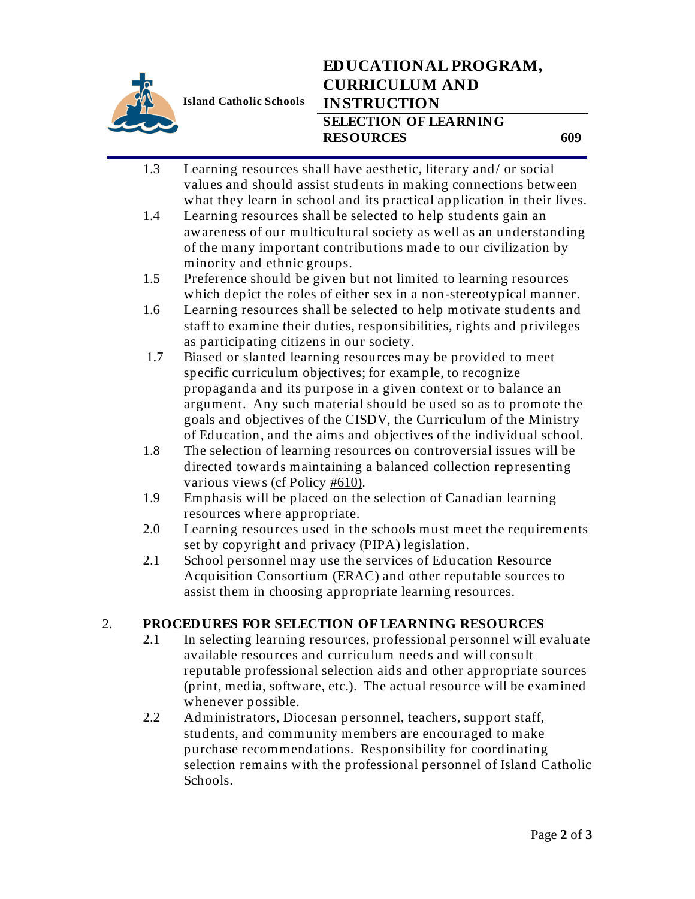

**Island Catholic Schools** 

# **EDUCATIONAL PROGRAM, CURRICULUM AND INSTRUCTION SELECTION OF LEARNING RESOURCES 609**

- 1.3 Learning resources shall have aesthetic, literary and/ or social values and should assist students in making connections between what they learn in school and its practical application in their lives.
- 1.4 Learning resources shall be selected to help students gain an awareness of our multicultural society as well as an understanding of the many important contributions made to our civilization by minority and ethnic groups.
- 1.5 Preference should be given but not limited to learning resources which depict the roles of either sex in a non-stereotypical manner.
- 1.6 Learning resources shall be selected to help motivate students and staff to examine their duties, responsibilities, rights and privileges as participating citizens in our society.
- 1.7 Biased or slanted learning resources may be provided to meet specific curriculum objectives; for example, to recognize propaganda and its purpose in a given context or to balance an argument. Any such material should be used so as to promote the goals and objectives of the CISDV, the Curriculum of the Ministry of Education, and the aims and objectives of the individual school.
- 1.8 The selection of learning resources on controversial issues will be directed towards maintaining a balanced collection representing various views (cf Policy #610).
- 1.9 Emphasis will be placed on the selection of Canadian learning resources where appropriate.
- 2.0 Learning resources used in the schools must meet the requirements set by copyright and privacy (PIPA) legislation.
- 2.1 School personnel may use the services of Education Resource Acquisition Consortium (ERAC) and other reputable sources to assist them in choosing appropriate learning resources.

### 2. **PROCEDURES FOR SELECTION OF LEARNING RESOURCES**

- 2.1 In selecting learning resources, professional personnel will evaluate available resources and curriculum needs and will consult reputable professional selection aids and other appropriate sources (print, media, software, etc.). The actual resource will be examined whenever possible.
- 2.2 Administrators, Diocesan personnel, teachers, support staff, students, and community members are encouraged to make purchase recommendations. Responsibility for coordinating selection remains with the professional personnel of Island Catholic Schools.